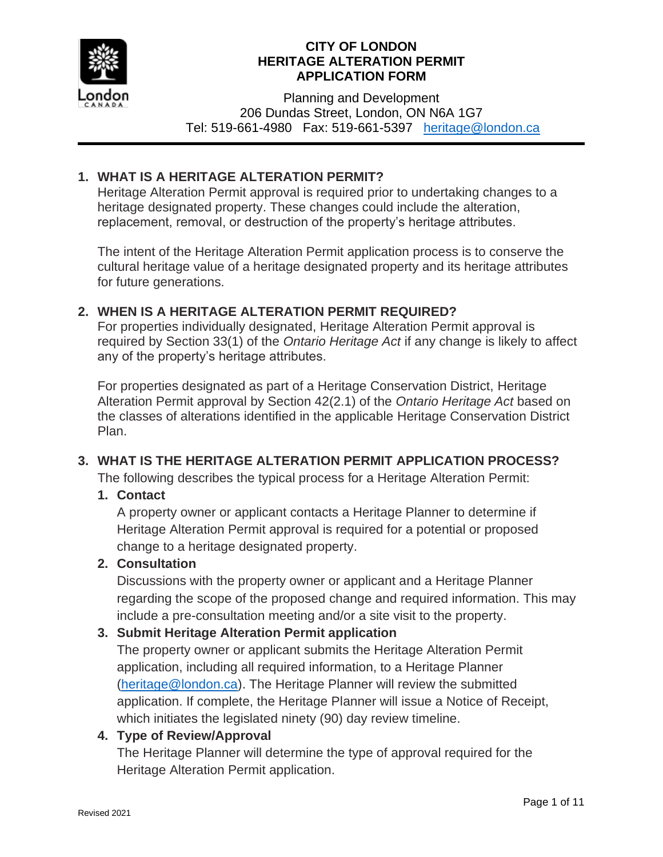

Planning and Development 206 Dundas Street, London, ON N6A 1G7 Tel: 519-661-4980 Fax: 519-661-5397 [heritage@london.ca](mailto:heritage@london.ca)

# **1. WHAT IS A HERITAGE ALTERATION PERMIT?**

Heritage Alteration Permit approval is required prior to undertaking changes to a heritage designated property. These changes could include the alteration, replacement, removal, or destruction of the property's heritage attributes.

The intent of the Heritage Alteration Permit application process is to conserve the cultural heritage value of a heritage designated property and its heritage attributes for future generations.

### **2. WHEN IS A HERITAGE ALTERATION PERMIT REQUIRED?**

For properties individually designated, Heritage Alteration Permit approval is required by Section 33(1) of the *Ontario Heritage Act* if any change is likely to affect any of the property's heritage attributes.

For properties designated as part of a Heritage Conservation District, Heritage Alteration Permit approval by Section 42(2.1) of the *Ontario Heritage Act* based on the classes of alterations identified in the applicable Heritage Conservation District Plan.

# **3. WHAT IS THE HERITAGE ALTERATION PERMIT APPLICATION PROCESS?**

The following describes the typical process for a Heritage Alteration Permit:

### **1. Contact**

A property owner or applicant contacts a Heritage Planner to determine if Heritage Alteration Permit approval is required for a potential or proposed change to a heritage designated property.

### **2. Consultation**

Discussions with the property owner or applicant and a Heritage Planner regarding the scope of the proposed change and required information. This may include a pre-consultation meeting and/or a site visit to the property.

### **3. Submit Heritage Alteration Permit application**

The property owner or applicant submits the Heritage Alteration Permit application, including all required information, to a Heritage Planner [\(heritage@london.ca\)](mailto:heritage@london.ca). The Heritage Planner will review the submitted application. If complete, the Heritage Planner will issue a Notice of Receipt, which initiates the legislated ninety (90) day review timeline.

### **4. Type of Review/Approval**

The Heritage Planner will determine the type of approval required for the Heritage Alteration Permit application.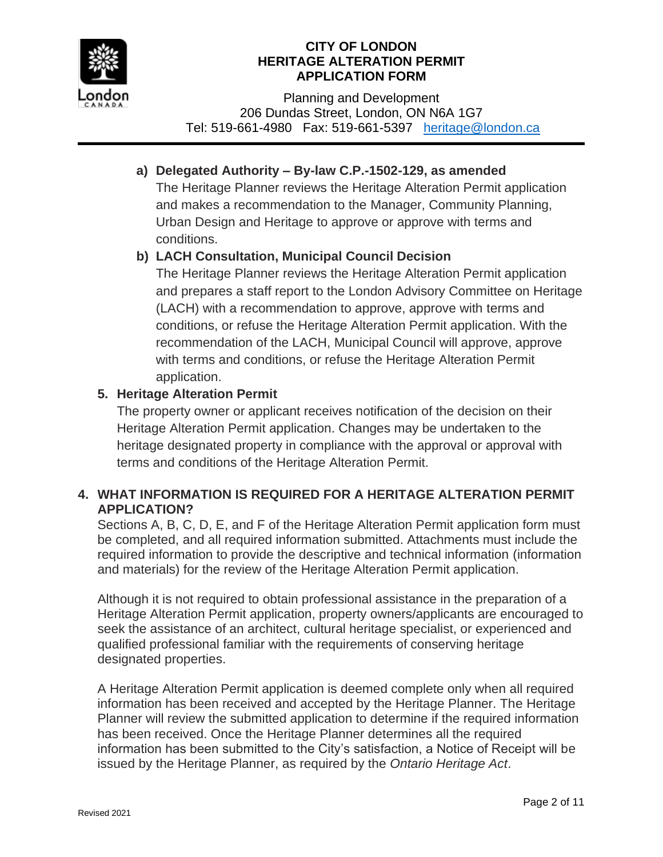

Planning and Development 206 Dundas Street, London, ON N6A 1G7 Tel: 519-661-4980 Fax: 519-661-5397 [heritage@london.ca](mailto:heritage@london.ca)

# **a) Delegated Authority – By-law C.P.-1502-129, as amended**

The Heritage Planner reviews the Heritage Alteration Permit application and makes a recommendation to the Manager, Community Planning, Urban Design and Heritage to approve or approve with terms and conditions.

# **b) LACH Consultation, Municipal Council Decision**

The Heritage Planner reviews the Heritage Alteration Permit application and prepares a staff report to the London Advisory Committee on Heritage (LACH) with a recommendation to approve, approve with terms and conditions, or refuse the Heritage Alteration Permit application. With the recommendation of the LACH, Municipal Council will approve, approve with terms and conditions, or refuse the Heritage Alteration Permit application.

# **5. Heritage Alteration Permit**

The property owner or applicant receives notification of the decision on their Heritage Alteration Permit application. Changes may be undertaken to the heritage designated property in compliance with the approval or approval with terms and conditions of the Heritage Alteration Permit.

# **4. WHAT INFORMATION IS REQUIRED FOR A HERITAGE ALTERATION PERMIT APPLICATION?**

Sections A, B, C, D, E, and F of the Heritage Alteration Permit application form must be completed, and all required information submitted. Attachments must include the required information to provide the descriptive and technical information (information and materials) for the review of the Heritage Alteration Permit application.

Although it is not required to obtain professional assistance in the preparation of a Heritage Alteration Permit application, property owners/applicants are encouraged to seek the assistance of an architect, cultural heritage specialist, or experienced and qualified professional familiar with the requirements of conserving heritage designated properties.

A Heritage Alteration Permit application is deemed complete only when all required information has been received and accepted by the Heritage Planner. The Heritage Planner will review the submitted application to determine if the required information has been received. Once the Heritage Planner determines all the required information has been submitted to the City's satisfaction, a Notice of Receipt will be issued by the Heritage Planner, as required by the *Ontario Heritage Act*.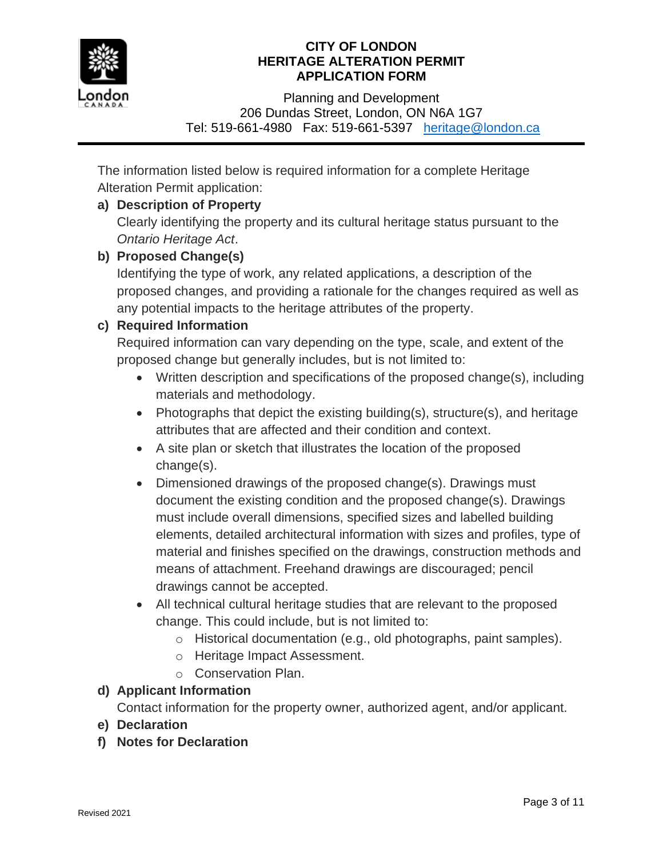

Planning and Development 206 Dundas Street, London, ON N6A 1G7 Tel: 519-661-4980 Fax: 519-661-5397 [heritage@london.ca](mailto:heritage@london.ca)

The information listed below is required information for a complete Heritage Alteration Permit application:

# **a) Description of Property**

Clearly identifying the property and its cultural heritage status pursuant to the *Ontario Heritage Act*.

# **b) Proposed Change(s)**

Identifying the type of work, any related applications, a description of the proposed changes, and providing a rationale for the changes required as well as any potential impacts to the heritage attributes of the property.

# **c) Required Information**

Required information can vary depending on the type, scale, and extent of the proposed change but generally includes, but is not limited to:

- Written description and specifications of the proposed change(s), including materials and methodology.
- Photographs that depict the existing building(s), structure(s), and heritage attributes that are affected and their condition and context.
- A site plan or sketch that illustrates the location of the proposed change(s).
- Dimensioned drawings of the proposed change(s). Drawings must document the existing condition and the proposed change(s). Drawings must include overall dimensions, specified sizes and labelled building elements, detailed architectural information with sizes and profiles, type of material and finishes specified on the drawings, construction methods and means of attachment. Freehand drawings are discouraged; pencil drawings cannot be accepted.
- All technical cultural heritage studies that are relevant to the proposed change. This could include, but is not limited to:
	- o Historical documentation (e.g., old photographs, paint samples).
	- o Heritage Impact Assessment.
	- o Conservation Plan.

# **d) Applicant Information**

Contact information for the property owner, authorized agent, and/or applicant.

- **e) Declaration**
- **f) Notes for Declaration**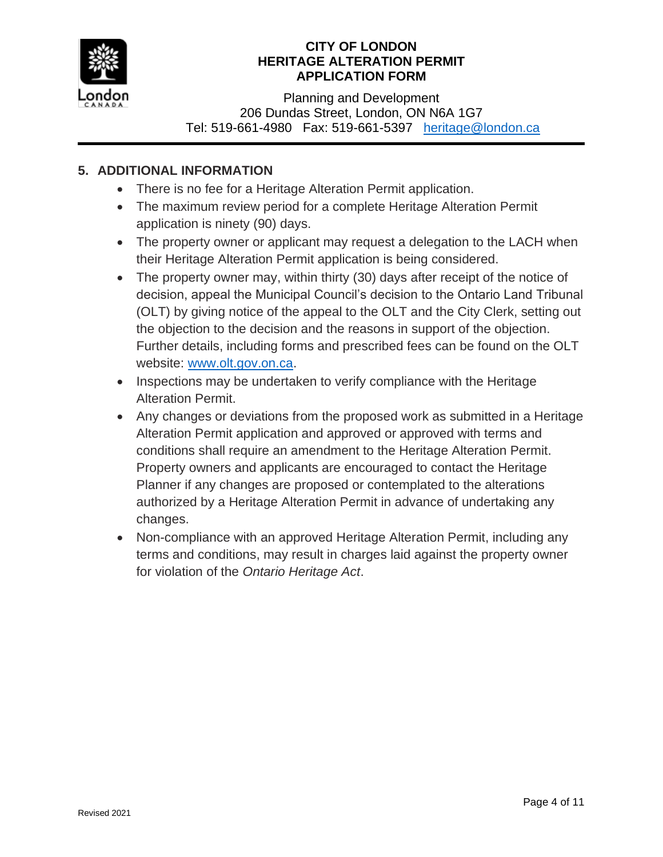

Planning and Development 206 Dundas Street, London, ON N6A 1G7 Tel: 519-661-4980 Fax: 519-661-5397 [heritage@london.ca](mailto:heritage@london.ca)

# **5. ADDITIONAL INFORMATION**

- There is no fee for a Heritage Alteration Permit application.
- The maximum review period for a complete Heritage Alteration Permit application is ninety (90) days.
- The property owner or applicant may request a delegation to the LACH when their Heritage Alteration Permit application is being considered.
- The property owner may, within thirty (30) days after receipt of the notice of decision, appeal the Municipal Council's decision to the Ontario Land Tribunal (OLT) by giving notice of the appeal to the OLT and the City Clerk, setting out the objection to the decision and the reasons in support of the objection. Further details, including forms and prescribed fees can be found on the OLT website: [www.olt.gov.on.ca.](http://www.olt.gov.on.ca/)
- Inspections may be undertaken to verify compliance with the Heritage Alteration Permit.
- Any changes or deviations from the proposed work as submitted in a Heritage Alteration Permit application and approved or approved with terms and conditions shall require an amendment to the Heritage Alteration Permit. Property owners and applicants are encouraged to contact the Heritage Planner if any changes are proposed or contemplated to the alterations authorized by a Heritage Alteration Permit in advance of undertaking any changes.
- Non-compliance with an approved Heritage Alteration Permit, including any terms and conditions, may result in charges laid against the property owner for violation of the *Ontario Heritage Act*.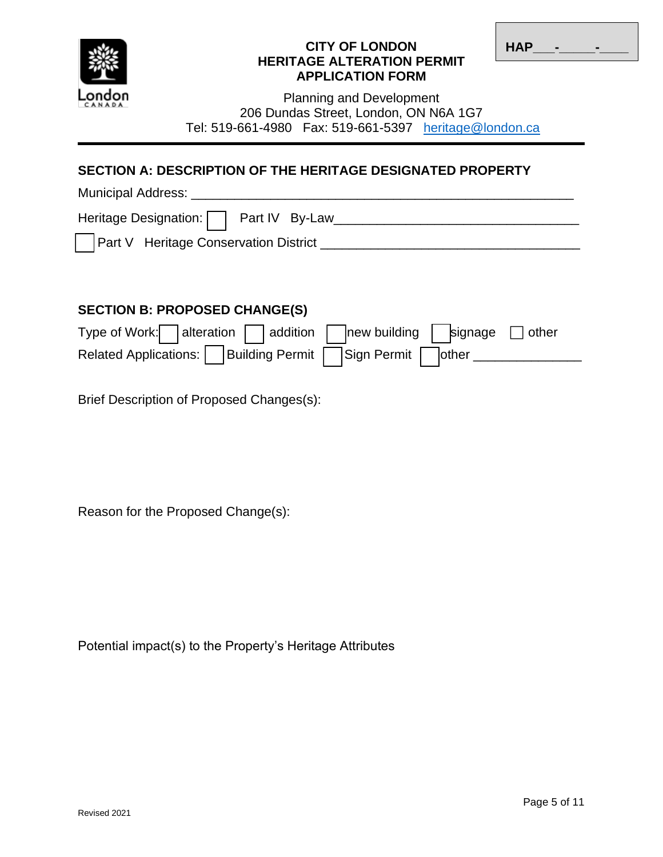

| <b>HAP</b> | - | - |
|------------|---|---|

Planning and Development 206 Dundas Street, London, ON N6A 1G7 Tel: 519-661-4980 Fax: 519-661-5397 [heritage@london.ca](mailto:heritage@london.ca)

# **SECTION A: DESCRIPTION OF THE HERITAGE DESIGNATED PROPERTY**

| Municipal Address:                           |
|----------------------------------------------|
| Heritage Designation:   Part IV By-Law       |
| <b>Part V</b> Heritage Conservation District |

# **SECTION B: PROPOSED CHANGE(S)**

| Type of Work: alteration $\Box$ addition $\Box$ new building $\Box$ signage $\Box$ other |  |  |  |
|------------------------------------------------------------------------------------------|--|--|--|
| Related Applications: Building Permit   Sign Permit   other                              |  |  |  |

Brief Description of Proposed Changes(s):

Reason for the Proposed Change(s):

Potential impact(s) to the Property's Heritage Attributes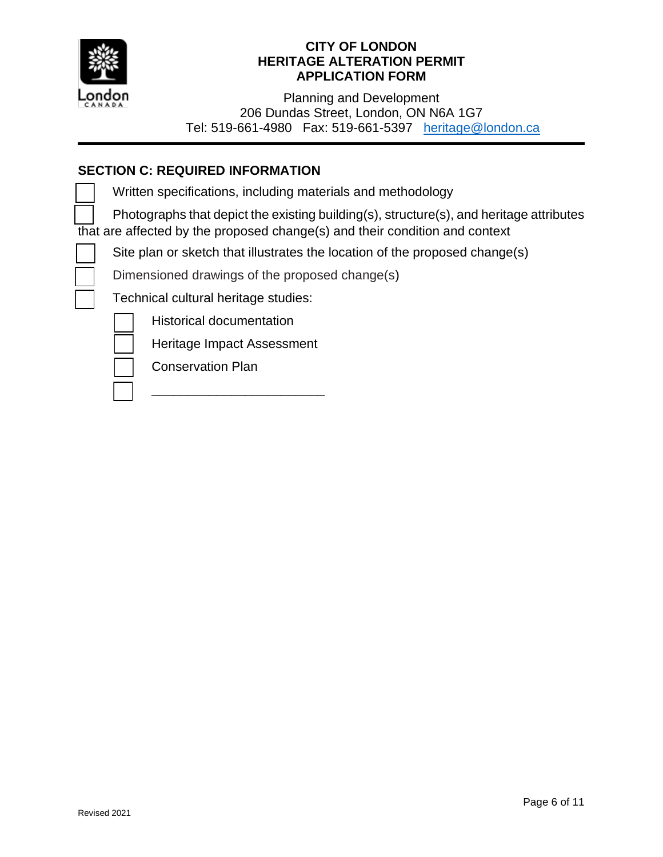

Planning and Development 206 Dundas Street, London, ON N6A 1G7 Tel: 519-661-4980 Fax: 519-661-5397 [heritage@london.ca](mailto:heritage@london.ca)

# **SECTION C: REQUIRED INFORMATION**

Written specifications, including materials and methodology

 Photographs that depict the existing building(s), structure(s), and heritage attributes  $\overline{t}$  that are affected by the proposed change(s) and their condition and context

Site plan or sketch that illustrates the location of the proposed change(s)

Dimensioned drawings of the proposed change(s)

Technical cultural heritage studies:

Historical documentation

Heritage Impact Assessment

\_\_\_\_\_\_\_\_\_\_\_\_\_\_\_\_\_\_\_\_\_\_\_\_



Conservation Plan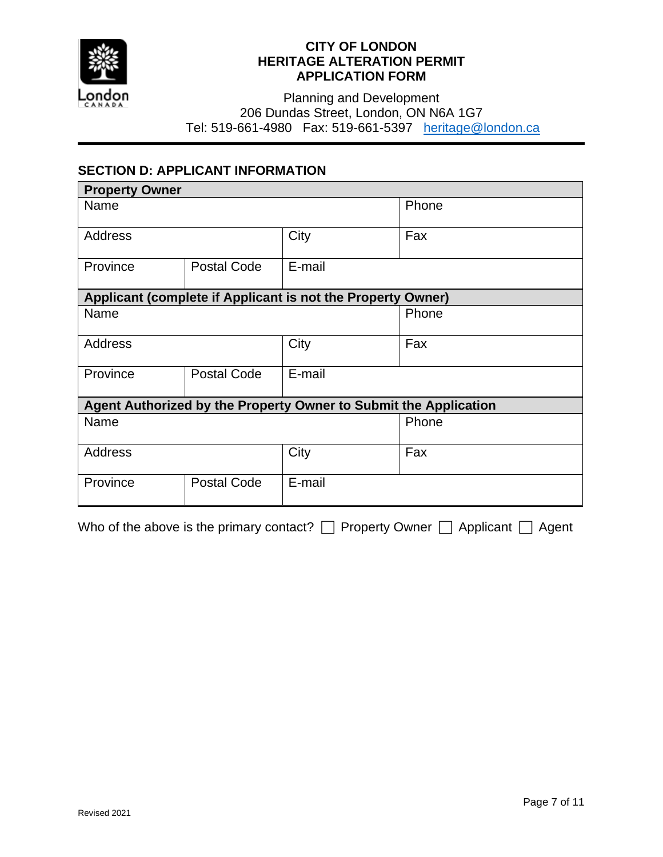

Planning and Development 206 Dundas Street, London, ON N6A 1G7 Tel: 519-661-4980 Fax: 519-661-5397 [heritage@london.ca](mailto:heritage@london.ca)

### **SECTION D: APPLICANT INFORMATION**

| <b>Property Owner</b>                                            |                    |                                                             |       |
|------------------------------------------------------------------|--------------------|-------------------------------------------------------------|-------|
| Name                                                             |                    |                                                             | Phone |
| Address                                                          |                    | City                                                        | Fax   |
| Province                                                         | Postal Code        | E-mail                                                      |       |
|                                                                  |                    | Applicant (complete if Applicant is not the Property Owner) |       |
| Name                                                             |                    |                                                             | Phone |
| <b>Address</b>                                                   |                    | City                                                        | Fax   |
| Province                                                         | <b>Postal Code</b> | E-mail                                                      |       |
| Agent Authorized by the Property Owner to Submit the Application |                    |                                                             |       |
| Name                                                             |                    |                                                             | Phone |
| <b>Address</b>                                                   |                    | City                                                        | Fax   |
| Province                                                         | <b>Postal Code</b> | E-mail                                                      |       |

Who of the above is the primary contact?  $\Box$  Property Owner  $\Box$  Applicant  $\Box$  Agent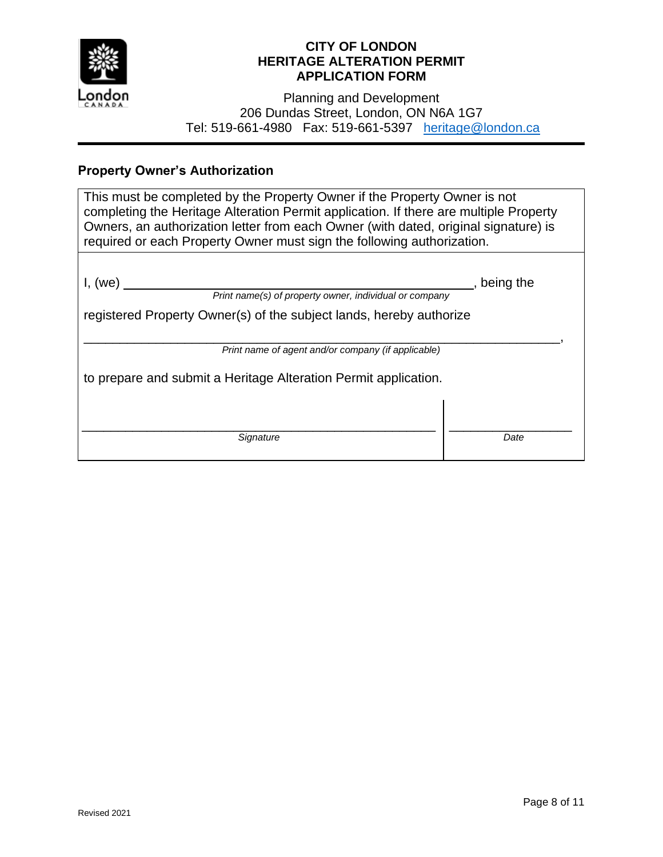

Planning and Development 206 Dundas Street, London, ON N6A 1G7 Tel: 519-661-4980 Fax: 519-661-5397 [heritage@london.ca](mailto:heritage@london.ca)

# **Property Owner's Authorization**

| This must be completed by the Property Owner if the Property Owner is not<br>completing the Heritage Alteration Permit application. If there are multiple Property<br>Owners, an authorization letter from each Owner (with dated, original signature) is<br>required or each Property Owner must sign the following authorization. |           |  |  |
|-------------------------------------------------------------------------------------------------------------------------------------------------------------------------------------------------------------------------------------------------------------------------------------------------------------------------------------|-----------|--|--|
|                                                                                                                                                                                                                                                                                                                                     |           |  |  |
| I, (we)                                                                                                                                                                                                                                                                                                                             | being the |  |  |
| Print name(s) of property owner, individual or company                                                                                                                                                                                                                                                                              |           |  |  |
| registered Property Owner(s) of the subject lands, hereby authorize                                                                                                                                                                                                                                                                 |           |  |  |
|                                                                                                                                                                                                                                                                                                                                     |           |  |  |
| Print name of agent and/or company (if applicable)                                                                                                                                                                                                                                                                                  |           |  |  |
| to prepare and submit a Heritage Alteration Permit application.                                                                                                                                                                                                                                                                     |           |  |  |
|                                                                                                                                                                                                                                                                                                                                     |           |  |  |
|                                                                                                                                                                                                                                                                                                                                     |           |  |  |
| Signature                                                                                                                                                                                                                                                                                                                           | Date      |  |  |
|                                                                                                                                                                                                                                                                                                                                     |           |  |  |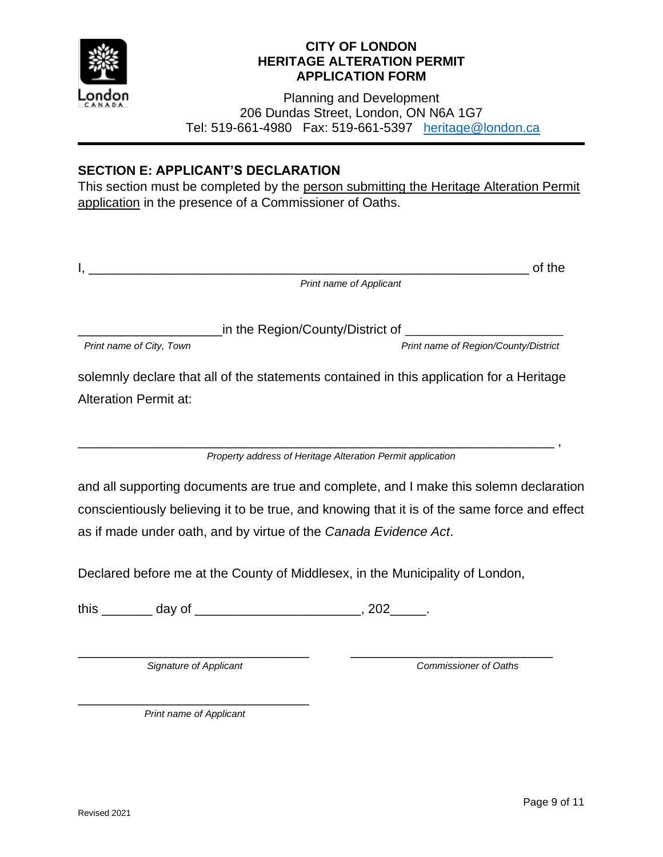

Planning and Development 206 Dundas Street, London, ON N6A 1G7 Tel: 519-661-4980 Fax: 519-661-5397 [heritage@london.ca](mailto:heritage@london.ca)

## **SECTION E: APPLICANT'S DECLARATION**

This section must be completed by the person submitting the Heritage Alteration Permit application in the presence of a Commissioner of Oaths.

|                                                                                          | of the                               |  |  |  |
|------------------------------------------------------------------------------------------|--------------------------------------|--|--|--|
|                                                                                          | <b>Print name of Applicant</b>       |  |  |  |
|                                                                                          |                                      |  |  |  |
| in the Region/County/District of                                                         |                                      |  |  |  |
| Print name of City, Town                                                                 | Print name of Region/County/District |  |  |  |
| solemnly declare that all of the statements contained in this application for a Heritage |                                      |  |  |  |
| <b>Alteration Permit at:</b>                                                             |                                      |  |  |  |
|                                                                                          |                                      |  |  |  |
|                                                                                          |                                      |  |  |  |

*Property address of Heritage Alteration Permit application*

\_\_\_\_\_\_\_\_\_\_\_\_\_\_\_\_\_\_\_\_\_\_\_\_\_\_\_\_\_\_\_\_\_\_\_\_\_\_\_\_\_\_\_\_\_\_\_\_\_\_\_\_\_\_\_\_\_\_\_\_\_\_\_\_\_\_ ,

and all supporting documents are true and complete, and I make this solemn declaration conscientiously believing it to be true, and knowing that it is of the same force and effect as if made under oath, and by virtue of the *Canada Evidence Act*.

Declared before me at the County of Middlesex, in the Municipality of London,

this \_\_\_\_\_\_\_\_ day of \_\_\_\_\_\_\_\_\_\_\_\_\_\_\_\_\_\_\_\_\_\_\_\_\_\_, 202\_\_\_\_\_.

\_\_\_\_\_\_\_\_\_\_\_\_\_\_\_\_\_\_\_\_\_\_\_\_\_\_\_\_\_\_\_\_ *Signature of Applicant*

*Commissioner of Oaths*

\_\_\_\_\_\_\_\_\_\_\_\_\_\_\_\_\_\_\_\_\_\_\_\_\_\_\_\_

\_\_\_\_\_\_\_\_\_\_\_\_\_\_\_\_\_\_\_\_\_\_\_\_\_\_\_\_\_\_\_\_ *Print name of Applicant*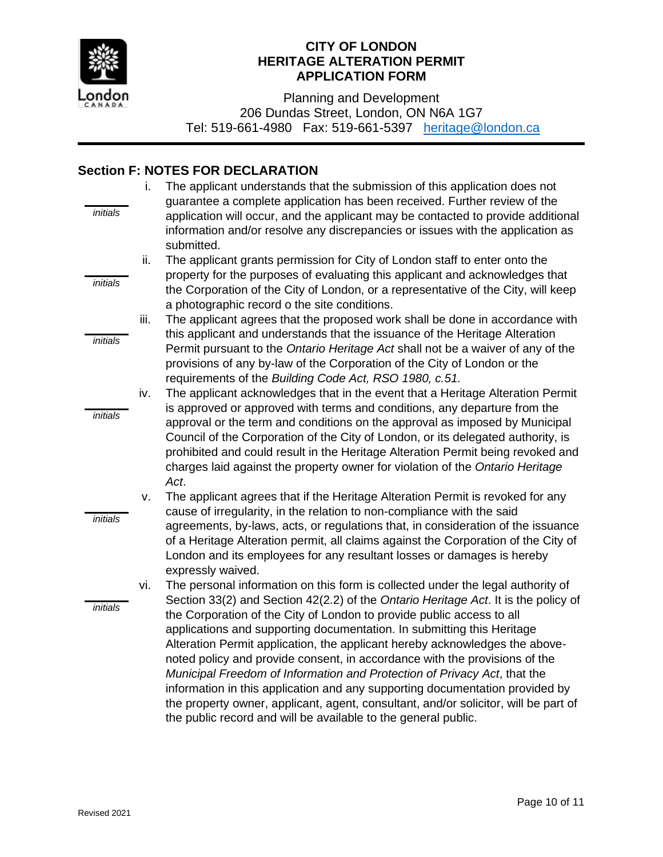

Planning and Development 206 Dundas Street, London, ON N6A 1G7 Tel: 519-661-4980 Fax: 519-661-5397 [heritage@london.ca](mailto:heritage@london.ca)

### **Section F: NOTES FOR DECLARATION**

|                 | i.   | The applicant understands that the submission of this application does not                                                                                                                                                                                                                                                                                                                                                                                                                                                                                                                                                                                                                                              |
|-----------------|------|-------------------------------------------------------------------------------------------------------------------------------------------------------------------------------------------------------------------------------------------------------------------------------------------------------------------------------------------------------------------------------------------------------------------------------------------------------------------------------------------------------------------------------------------------------------------------------------------------------------------------------------------------------------------------------------------------------------------------|
| initials        |      | guarantee a complete application has been received. Further review of the<br>application will occur, and the applicant may be contacted to provide additional<br>information and/or resolve any discrepancies or issues with the application as<br>submitted.                                                                                                                                                                                                                                                                                                                                                                                                                                                           |
|                 | ii.  | The applicant grants permission for City of London staff to enter onto the                                                                                                                                                                                                                                                                                                                                                                                                                                                                                                                                                                                                                                              |
| <i>initials</i> |      | property for the purposes of evaluating this applicant and acknowledges that<br>the Corporation of the City of London, or a representative of the City, will keep                                                                                                                                                                                                                                                                                                                                                                                                                                                                                                                                                       |
|                 | iii. | a photographic record o the site conditions.<br>The applicant agrees that the proposed work shall be done in accordance with                                                                                                                                                                                                                                                                                                                                                                                                                                                                                                                                                                                            |
| initials        |      | this applicant and understands that the issuance of the Heritage Alteration<br>Permit pursuant to the Ontario Heritage Act shall not be a waiver of any of the<br>provisions of any by-law of the Corporation of the City of London or the                                                                                                                                                                                                                                                                                                                                                                                                                                                                              |
|                 |      | requirements of the Building Code Act, RSO 1980, c.51.                                                                                                                                                                                                                                                                                                                                                                                                                                                                                                                                                                                                                                                                  |
|                 | iv.  | The applicant acknowledges that in the event that a Heritage Alteration Permit<br>is approved or approved with terms and conditions, any departure from the                                                                                                                                                                                                                                                                                                                                                                                                                                                                                                                                                             |
| <i>initials</i> |      | approval or the term and conditions on the approval as imposed by Municipal<br>Council of the Corporation of the City of London, or its delegated authority, is<br>prohibited and could result in the Heritage Alteration Permit being revoked and<br>charges laid against the property owner for violation of the Ontario Heritage<br>Act.                                                                                                                                                                                                                                                                                                                                                                             |
|                 | v.   | The applicant agrees that if the Heritage Alteration Permit is revoked for any                                                                                                                                                                                                                                                                                                                                                                                                                                                                                                                                                                                                                                          |
| initials        |      | cause of irregularity, in the relation to non-compliance with the said<br>agreements, by-laws, acts, or regulations that, in consideration of the issuance<br>of a Heritage Alteration permit, all claims against the Corporation of the City of<br>London and its employees for any resultant losses or damages is hereby<br>expressly waived.                                                                                                                                                                                                                                                                                                                                                                         |
|                 | vi.  | The personal information on this form is collected under the legal authority of                                                                                                                                                                                                                                                                                                                                                                                                                                                                                                                                                                                                                                         |
| initials        |      | Section 33(2) and Section 42(2.2) of the Ontario Heritage Act. It is the policy of<br>the Corporation of the City of London to provide public access to all<br>applications and supporting documentation. In submitting this Heritage<br>Alteration Permit application, the applicant hereby acknowledges the above-<br>noted policy and provide consent, in accordance with the provisions of the<br>Municipal Freedom of Information and Protection of Privacy Act, that the<br>information in this application and any supporting documentation provided by<br>the property owner, applicant, agent, consultant, and/or solicitor, will be part of<br>the public record and will be available to the general public. |